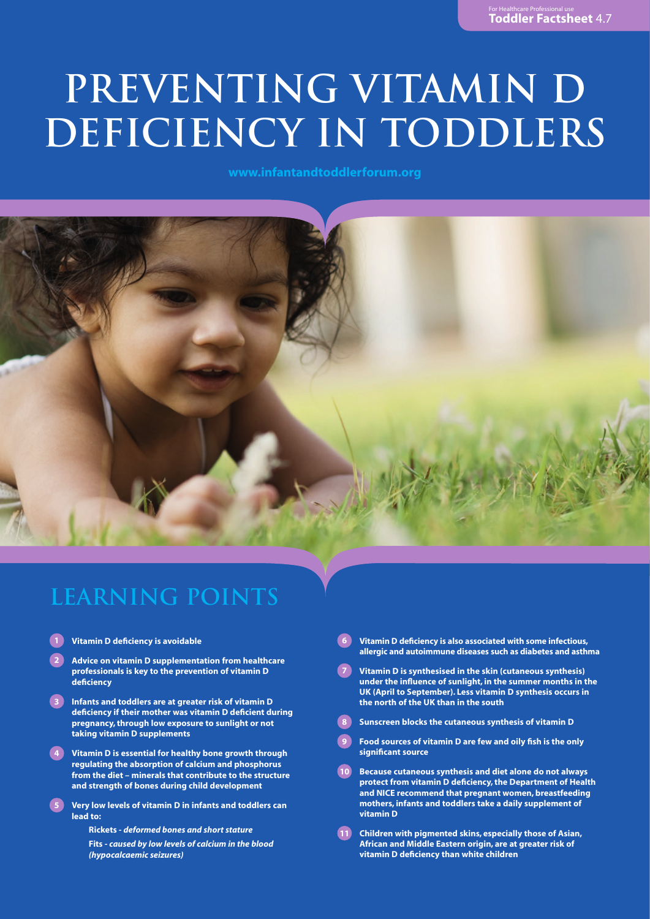# **PREVENTING VITAMIN D DEFICIENCY IN TODDLERS**

**www.infantandtoddlerforum.org**



### **LEARNING POINTS**

- **1 Vitamin D deficiency is avoidable**
- **2 Advice on vitamin D supplementation from healthcare professionals is key to the prevention of vitamin D deficiency**
- **3 Infants and toddlers are at greater risk of vitamin D deficiency if their mother was vitamin D deficient during pregnancy, through low exposure to sunlight or not taking vitamin D supplements**
- **4 Vitamin D is essential for healthy bone growth through regulating the absorption of calcium and phosphorus from the diet – minerals that contribute to the structure and strength of bones during child development**
- **5 Very low levels of vitamin D in infants and toddlers can lead to:**
	- **Rickets**  *deformed bones and short stature*
	- **Fits**  *caused by low levels of calcium in the blood (hypocalcaemic seizures)*
- **6 Vitamin D deficiency is also associated with some infectious, allergic and autoimmune diseases such as diabetes and asthma**
- **7 Vitamin D is synthesised in the skin (cutaneous synthesis) under the influence of sunlight, in the summer months in the UK (April to September). Less vitamin D synthesis occurs in the north of the UK than in the south**
- **8 Sunscreen blocks the cutaneous synthesis of vitamin D**
- **9 Food sources of vitamin D are few and oily fish is the only significant source**
- **10 Because cutaneous synthesis and diet alone do not always protect from vitamin D deficiency, the Department of Health and NICE recommend that pregnant women, breastfeeding mothers, infants and toddlers take a daily supplement of vitamin D**
- **11 Children with pigmented skins, especially those of Asian, African and Middle Eastern origin, are at greater risk of vitamin D deficiency than white children**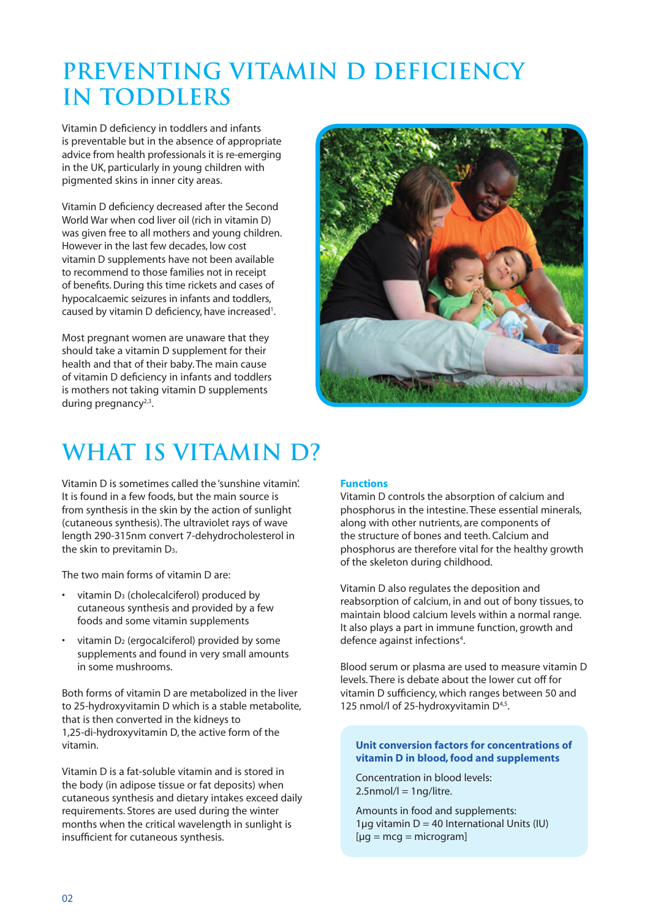# **Preventing Vitamin D Deficiency in Toddlers**

Vitamin D deficiency in toddlers and infants is preventable but in the absence of appropriate advice from health professionals it is re-emerging in the UK, particularly in young children with pigmented skins in inner city areas.

Vitamin D deficiency decreased after the Second World War when cod liver oil (rich in vitamin D) was given free to all mothers and young children. However in the last few decades, low cost vitamin D supplements have not been available to recommend to those families not in receipt of benefits. During this time rickets and cases of hypocalcaemic seizures in infants and toddlers, caused by vitamin D deficiency, have increased<sup>1</sup>.

Most pregnant women are unaware that they should take a vitamin D supplement for their health and that of their baby. The main cause of vitamin D deficiency in infants and toddlers is mothers not taking vitamin D supplements during pregnancy $2,3$ .



# **What is Vitamin D?**

Vitamin D is sometimes called the 'sunshine vitamin'. It is found in a few foods, but the main source is from synthesis in the skin by the action of sunlight (cutaneous synthesis). The ultraviolet rays of wave length 290-315nm convert 7-dehydrocholesterol in the skin to previtamin D3.

The two main forms of vitamin D are:

- vitamin D<sub>3</sub> (cholecalciferol) produced by cutaneous synthesis and provided by a few foods and some vitamin supplements
- vitamin  $D_2$  (ergocalciferol) provided by some supplements and found in very small amounts in some mushrooms.

Both forms of vitamin D are metabolized in the liver to 25-hydroxyvitamin D which is a stable metabolite, that is then converted in the kidneys to 1,25-di-hydroxyvitamin D, the active form of the vitamin.

Vitamin D is a fat-soluble vitamin and is stored in the body (in adipose tissue or fat deposits) when cutaneous synthesis and dietary intakes exceed daily requirements. Stores are used during the winter months when the critical wavelength in sunlight is insufficient for cutaneous synthesis.

#### **Functions**

Vitamin D controls the absorption of calcium and phosphorus in the intestine. These essential minerals, along with other nutrients, are components of the structure of bones and teeth. Calcium and phosphorus are therefore vital for the healthy growth of the skeleton during childhood.

Vitamin D also regulates the deposition and reabsorption of calcium, in and out of bony tissues, to maintain blood calcium levels within a normal range. It also plays a part in immune function, growth and defence against infections<sup>4</sup>.

Blood serum or plasma are used to measure vitamin D levels. There is debate about the lower cut off for vitamin D sufficiency, which ranges between 50 and 125 nmol/l of 25-hydroxyvitamin D<sup>4,5</sup>.

#### **Unit conversion factors for concentrations of vitamin D in blood, food and supplements**

Concentration in blood levels:  $2.5$ nmol/l = 1ng/litre.

Amounts in food and supplements: 1µg vitamin  $D = 40$  International Units (IU)  $[µq = mcq = microgram]$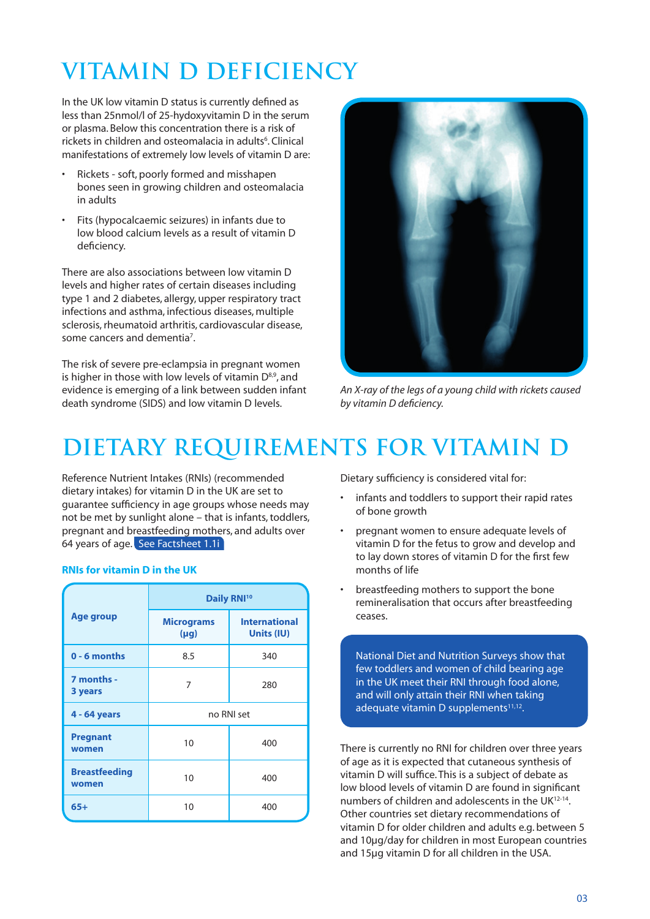# **Vitamin D Deficiency**

In the UK low vitamin D status is currently defined as less than 25nmol/l of 25-hydoxyvitamin D in the serum or plasma. Below this concentration there is a risk of rickets in children and osteomalacia in adults<sup>6</sup>. Clinical manifestations of extremely low levels of vitamin D are:

- Rickets soft, poorly formed and misshapen bones seen in growing children and osteomalacia in adults
- Fits (hypocalcaemic seizures) in infants due to low blood calcium levels as a result of vitamin D deficiency.

There are also associations between low vitamin D levels and higher rates of certain diseases including type 1 and 2 diabetes, allergy, upper respiratory tract infections and asthma, infectious diseases, multiple sclerosis, rheumatoid arthritis, cardiovascular disease, some cancers and dementia<sup>7</sup>.

The risk of severe pre-eclampsia in pregnant women is higher in those with low levels of vitamin  $D^{8,9}$ , and evidence is emerging of a link between sudden infant death syndrome (SIDS) and low vitamin D levels.



*An X-ray of the legs of a young child with rickets caused by vitamin D deficiency.* 

# **Dietary Requirements for Vitamin D**

Reference Nutrient Intakes (RNIs) (recommended dietary intakes) for vitamin D in the UK are set to guarantee sufficiency in age groups whose needs may not be met by sunlight alone – that is infants, toddlers, pregnant and breastfeeding mothers, and adults over 64 years of age. See Factsheet 1.1i

| <b>Age group</b>              | Daily RNI <sup>10</sup>        |                                    |
|-------------------------------|--------------------------------|------------------------------------|
|                               | <b>Micrograms</b><br>$(\mu g)$ | <b>International</b><br>Units (IU) |
| $0 - 6$ months                | 8.5                            | 340                                |
| 7 months -<br>3 years         | 7                              | 280                                |
| 4 - 64 years                  | no RNI set                     |                                    |
| <b>Pregnant</b><br>women      | 10                             | 400                                |
| <b>Breastfeeding</b><br>women | 10                             | 400                                |
| $65+$                         | 10                             | 400                                |

#### **RNIs for vitamin D in the UK**

Dietary sufficiency is considered vital for:

- infants and toddlers to support their rapid rates of bone growth
- pregnant women to ensure adequate levels of vitamin D for the fetus to grow and develop and to lay down stores of vitamin D for the first few months of life
- breastfeeding mothers to support the bone remineralisation that occurs after breastfeeding ceases.

National Diet and Nutrition Surveys show that few toddlers and women of child bearing age in the UK meet their RNI through food alone, and will only attain their RNI when taking adequate vitamin D supplements<sup>11,12</sup>.

There is currently no RNI for children over three years of age as it is expected that cutaneous synthesis of vitamin D will suffice. This is a subject of debate as low blood levels of vitamin D are found in significant numbers of children and adolescents in the UK12-14. Other countries set dietary recommendations of vitamin D for older children and adults e.g. between 5 and 10µg/day for children in most European countries and 15µg vitamin D for all children in the USA.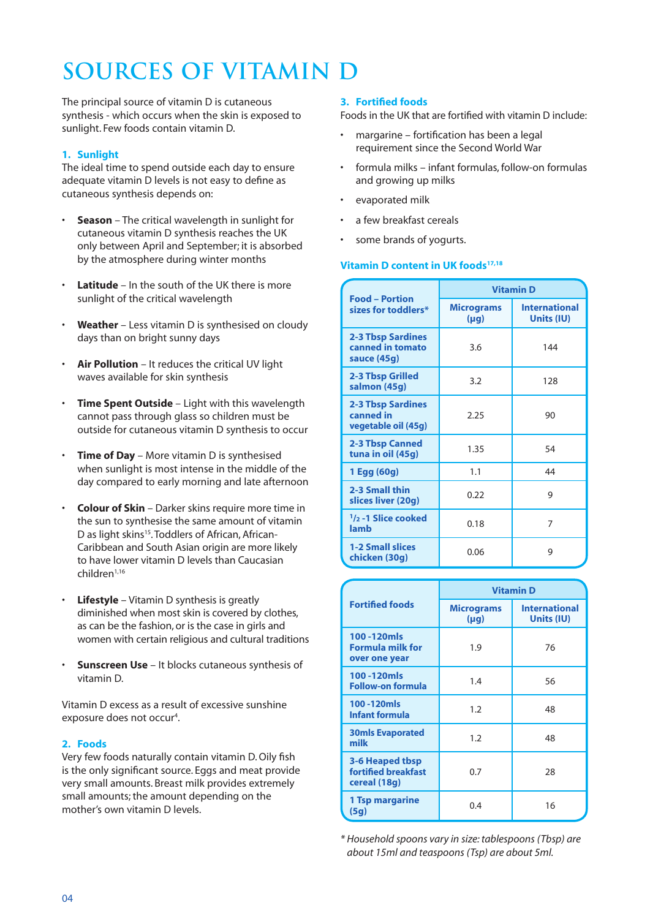# **Sources of Vitamin D**

The principal source of vitamin D is cutaneous synthesis - which occurs when the skin is exposed to sunlight. Few foods contain vitamin D.

#### **1. Sunlight**

The ideal time to spend outside each day to ensure adequate vitamin D levels is not easy to define as cutaneous synthesis depends on:

- **Season** The critical wavelength in sunlight for cutaneous vitamin D synthesis reaches the UK only between April and September; it is absorbed by the atmosphere during winter months
- **Latitude** In the south of the UK there is more sunlight of the critical wavelength
- **Weather** Less vitamin D is synthesised on cloudy days than on bright sunny days
- **Air Pollution** It reduces the critical UV light waves available for skin synthesis
- **Time Spent Outside** Light with this wavelength cannot pass through glass so children must be outside for cutaneous vitamin D synthesis to occur
- **Time of Day** More vitamin D is synthesised when sunlight is most intense in the middle of the day compared to early morning and late afternoon
- **Colour of Skin** Darker skins require more time in the sun to synthesise the same amount of vitamin D as light skins<sup>15</sup>. Toddlers of African, African-Caribbean and South Asian origin are more likely to have lower vitamin D levels than Caucasian children1,16
- **Lifestyle** Vitamin D synthesis is greatly diminished when most skin is covered by clothes, as can be the fashion, or is the case in girls and women with certain religious and cultural traditions
- **Sunscreen Use** It blocks cutaneous synthesis of vitamin D.

Vitamin D excess as a result of excessive sunshine exposure does not occur<sup>4</sup>.

#### **2. Foods**

Very few foods naturally contain vitamin D. Oily fish is the only significant source. Eggs and meat provide very small amounts. Breast milk provides extremely small amounts; the amount depending on the mother's own vitamin D levels.

#### **3. Fortified foods**

Foods in the UK that are fortified with vitamin D include:

- margarine fortification has been a legal requirement since the Second World War
- formula milks infant formulas, follow-on formulas and growing up milks
- evaporated milk
- a few breakfast cereals
- some brands of yogurts.

#### **Vitamin D content in UK foods<sup>17,18</sup>**

| <b>Food - Portion</b><br>sizes for toddlers*                 | <b>Vitamin D</b>               |                                    |
|--------------------------------------------------------------|--------------------------------|------------------------------------|
|                                                              | <b>Micrograms</b><br>$(\mu g)$ | <b>International</b><br>Units (IU) |
| <b>2-3 Tbsp Sardines</b><br>canned in tomato<br>sauce (45g)  | 3.6                            | 144                                |
| 2-3 Tbsp Grilled<br>salmon (45g)                             | 3.2                            | 128                                |
| <b>2-3 Tbsp Sardines</b><br>canned in<br>vegetable oil (45g) | 2.25                           | 90                                 |
| <b>2-3 Tbsp Canned</b><br>tuna in oil (45g)                  | 1.35                           | 54                                 |
| 1 Egg (60g)                                                  | 1.1                            | 44                                 |
| 2-3 Small thin<br>slices liver (20g)                         | 0.22                           | 9                                  |
| $\frac{1}{2}$ -1 Slice cooked<br>lamb                        | 0.18                           | 7                                  |
| <b>1-2 Small slices</b><br>chicken (30g)                     | 0.06                           | 9                                  |

| <b>Fortified foods</b>                                 | <b>Vitamin D</b>               |                                    |
|--------------------------------------------------------|--------------------------------|------------------------------------|
|                                                        | <b>Micrograms</b><br>$(\mu q)$ | <b>International</b><br>Units (IU) |
| 100-120mls<br><b>Formula milk for</b><br>over one year | 1.9                            | 76                                 |
| 100-120mls<br><b>Follow-on formula</b>                 | 1.4                            | 56                                 |
| 100-120mls<br><b>Infant formula</b>                    | 1.2                            | 48                                 |
| <b>30mls Evaporated</b><br>milk                        | 1.2                            | 48                                 |
| 3-6 Heaped tbsp<br>fortified breakfast<br>cereal (18g) | 0.7                            | 28                                 |
| 1 Tsp margarine<br>(5g)                                | 0.4                            | 16                                 |

*\* Household spoons vary in size: tablespoons (Tbsp) are about 15ml and teaspoons (Tsp) are about 5ml.*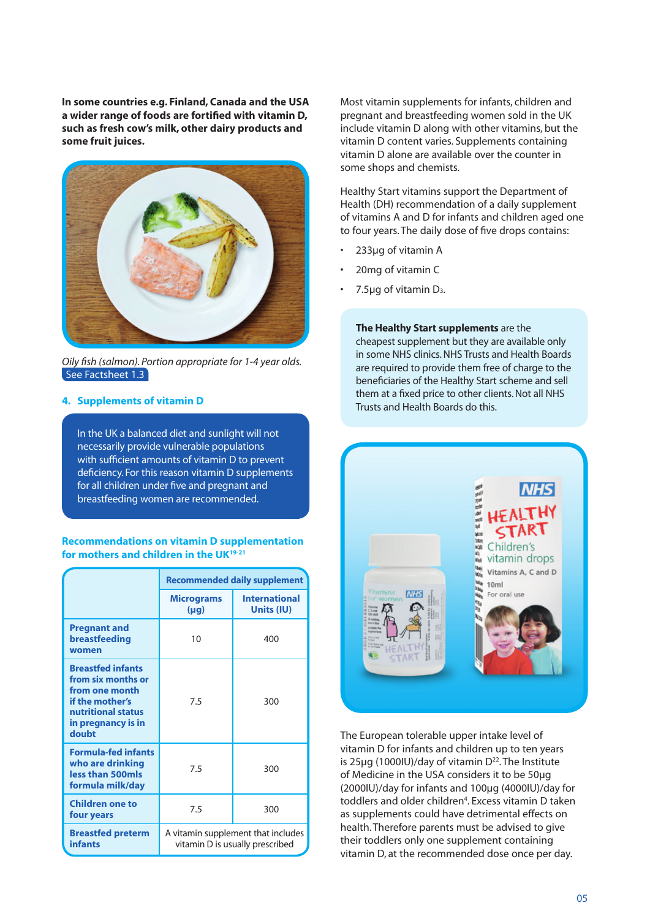**In some countries e.g. Finland, Canada and the USA a wider range of foods are fortified with vitamin D, such as fresh cow's milk, other dairy products and some fruit juices.**



*Oily fish (salmon). Portion appropriate for 1-4 year olds.*  See Factsheet 1.3

#### **4. Supplements of vitamin D**

In the UK a balanced diet and sunlight will not necessarily provide vulnerable populations with sufficient amounts of vitamin D to prevent deficiency. For this reason vitamin D supplements for all children under five and pregnant and breastfeeding women are recommended.

#### **Recommendations on vitamin D supplementation for mothers and children in the UK19-21**

|                                                                                                                                          | <b>Recommended daily supplement</b>                                   |                                    |
|------------------------------------------------------------------------------------------------------------------------------------------|-----------------------------------------------------------------------|------------------------------------|
|                                                                                                                                          | <b>Micrograms</b><br>$(\mu q)$                                        | <b>International</b><br>Units (IU) |
| <b>Pregnant and</b><br>breastfeeding<br>women                                                                                            | 10                                                                    | 400                                |
| <b>Breastfed infants</b><br>from six months or<br>from one month<br>if the mother's<br>nutritional status<br>in pregnancy is in<br>doubt | 7.5                                                                   | 300                                |
| <b>Formula-fed infants</b><br>who are drinking<br>less than 500mls<br>formula milk/day                                                   | 7.5                                                                   | 300                                |
| <b>Children one to</b><br>four years                                                                                                     | 7.5                                                                   | 300                                |
| <b>Breastfed preterm</b><br><b>infants</b>                                                                                               | A vitamin supplement that includes<br>vitamin D is usually prescribed |                                    |

Most vitamin supplements for infants, children and pregnant and breastfeeding women sold in the UK include vitamin D along with other vitamins, but the vitamin D content varies. Supplements containing vitamin D alone are available over the counter in some shops and chemists.

Healthy Start vitamins support the Department of Health (DH) recommendation of a daily supplement of vitamins A and D for infants and children aged one to four years. The daily dose of five drops contains:

- 233µg of vitamin A
- 20mg of vitamin C
- 7.5µg of vitamin D3.

**The Healthy Start supplements** are the cheapest supplement but they are available only in some NHS clinics. NHS Trusts and Health Boards are required to provide them free of charge to the beneficiaries of the Healthy Start scheme and sell them at a fixed price to other clients. Not all NHS Trusts and Health Boards do this.



The European tolerable upper intake level of vitamin D for infants and children up to ten years is 25ug (1000IU)/day of vitamin  $D^{22}$ . The Institute of Medicine in the USA considers it to be 50µg (2000IU)/day for infants and 100µg (4000IU)/day for toddlers and older children<sup>4</sup>. Excess vitamin D taken as supplements could have detrimental effects on health. Therefore parents must be advised to give their toddlers only one supplement containing vitamin D, at the recommended dose once per day.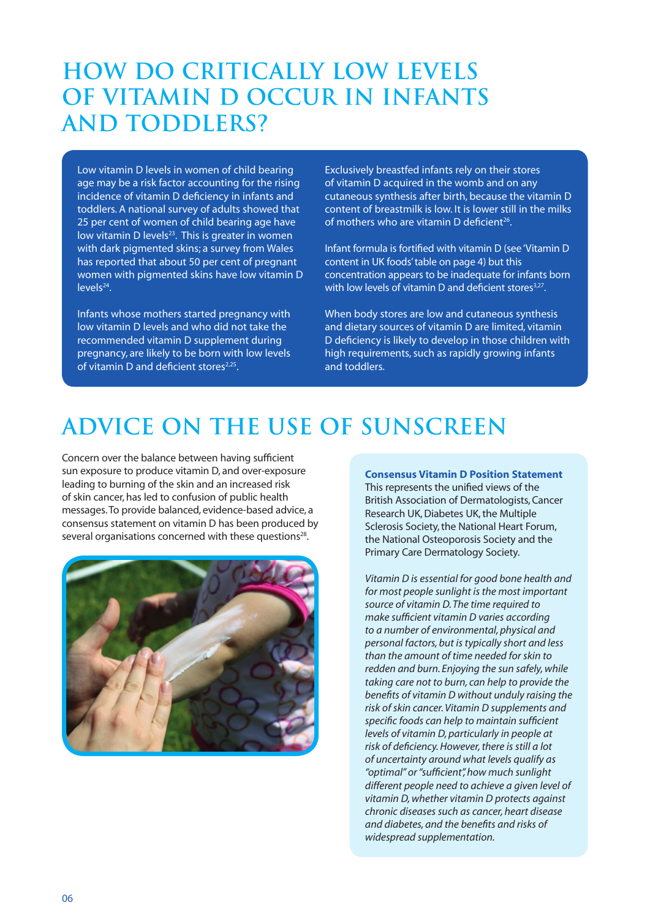### **How do Critically Low Levels of Vitamin D Occur in Infants and Toddlers?**

Low vitamin D levels in women of child bearing age may be a risk factor accounting for the rising incidence of vitamin D deficiency in infants and toddlers. A national survey of adults showed that 25 per cent of women of child bearing age have low vitamin D levels $23$ . This is greater in women with dark pigmented skins; a survey from Wales has reported that about 50 per cent of pregnant women with pigmented skins have low vitamin D levels<sup>24</sup>.

Infants whose mothers started pregnancy with low vitamin D levels and who did not take the recommended vitamin D supplement during pregnancy, are likely to be born with low levels of vitamin D and deficient stores $2,25$ .

Exclusively breastfed infants rely on their stores of vitamin D acquired in the womb and on any cutaneous synthesis after birth, because the vitamin D content of breastmilk is low. It is lower still in the milks of mothers who are vitamin D deficient<sup>26</sup>.

Infant formula is fortified with vitamin D (see 'Vitamin D content in UK foods' table on page 4) but this concentration appears to be inadequate for infants born with low levels of vitamin D and deficient stores<sup>3,27</sup>.

When body stores are low and cutaneous synthesis and dietary sources of vitamin D are limited, vitamin D deficiency is likely to develop in those children with high requirements, such as rapidly growing infants and toddlers.

### **Advice on the Use of Sunscreen**

Concern over the balance between having sufficient sun exposure to produce vitamin D, and over-exposure leading to burning of the skin and an increased risk of skin cancer, has led to confusion of public health messages. To provide balanced, evidence-based advice, a consensus statement on vitamin D has been produced by several organisations concerned with these questions<sup>28</sup>.



#### **Consensus Vitamin D Position Statement**

This represents the unified views of the British Association of Dermatologists, Cancer Research UK, Diabetes UK, the Multiple Sclerosis Society, the National Heart Forum, the National Osteoporosis Society and the Primary Care Dermatology Society.

*Vitamin D is essential for good bone health and for most people sunlight is the most important source of vitamin D. The time required to make sufficient vitamin D varies according to a number of environmental, physical and personal factors, but is typically short and less than the amount of time needed for skin to redden and burn. Enjoying the sun safely, while taking care not to burn, can help to provide the benefits of vitamin D without unduly raising the risk of skin cancer. Vitamin D supplements and specific foods can help to maintain sufficient levels of vitamin D, particularly in people at risk of deficiency. However, there is still a lot of uncertainty around what levels qualify as "optimal" or "sufficient", how much sunlight different people need to achieve a given level of vitamin D, whether vitamin D protects against chronic diseases such as cancer, heart disease and diabetes, and the benefits and risks of widespread supplementation.*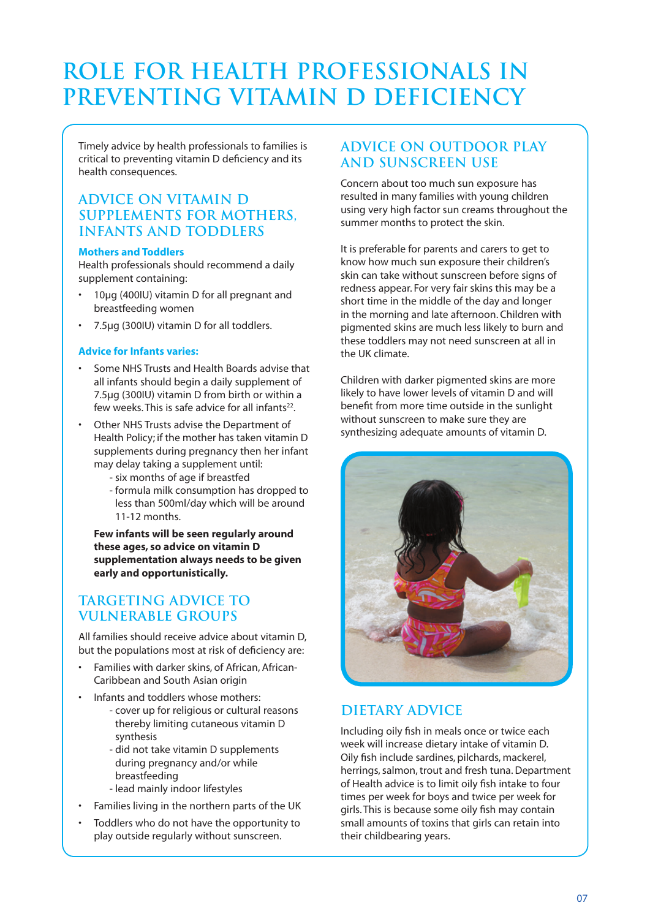# **Role for Health Professionals in Preventing Vitamin D Deficiency**

Timely advice by health professionals to families is critical to preventing vitamin D deficiency and its health consequences.

#### **Advice on Vitamin D supplements for Mothers, Infants and Toddlers**

#### **Mothers and Toddlers**

Health professionals should recommend a daily supplement containing:

- 10ug (400IU) vitamin D for all pregnant and breastfeeding women
- 7.5µg (300IU) vitamin D for all toddlers.

#### **Advice for Infants varies:**

- Some NHS Trusts and Health Boards advise that all infants should begin a daily supplement of 7.5µg (300IU) vitamin D from birth or within a few weeks. This is safe advice for all infants $22$ .
- Other NHS Trusts advise the Department of Health Policy; if the mother has taken vitamin D supplements during pregnancy then her infant may delay taking a supplement until:
	- six months of age if breastfed
	- formula milk consumption has dropped to less than 500ml/day which will be around 11-12 months.

 **Few infants will be seen regularly around these ages, so advice on vitamin D supplementation always needs to be given early and opportunistically.**

#### **Targeting advice to vulnerable groups**

All families should receive advice about vitamin D, but the populations most at risk of deficiency are:

- Families with darker skins, of African, African-Caribbean and South Asian origin
- Infants and toddlers whose mothers:
	- cover up for religious or cultural reasons thereby limiting cutaneous vitamin D synthesis
	- did not take vitamin D supplements during pregnancy and/or while breastfeeding
	- lead mainly indoor lifestyles
- Families living in the northern parts of the UK
- Toddlers who do not have the opportunity to play outside regularly without sunscreen.

### **Advice on outdoor play and sunscreen use**

Concern about too much sun exposure has resulted in many families with young children using very high factor sun creams throughout the summer months to protect the skin.

It is preferable for parents and carers to get to know how much sun exposure their children's skin can take without sunscreen before signs of redness appear. For very fair skins this may be a short time in the middle of the day and longer in the morning and late afternoon. Children with pigmented skins are much less likely to burn and these toddlers may not need sunscreen at all in the UK climate.

Children with darker pigmented skins are more likely to have lower levels of vitamin D and will benefit from more time outside in the sunlight without sunscreen to make sure they are synthesizing adequate amounts of vitamin D.



### **Dietary advice**

Including oily fish in meals once or twice each week will increase dietary intake of vitamin D. Oily fish include sardines, pilchards, mackerel, herrings, salmon, trout and fresh tuna. Department of Health advice is to limit oily fish intake to four times per week for boys and twice per week for girls. This is because some oily fish may contain small amounts of toxins that girls can retain into their childbearing years.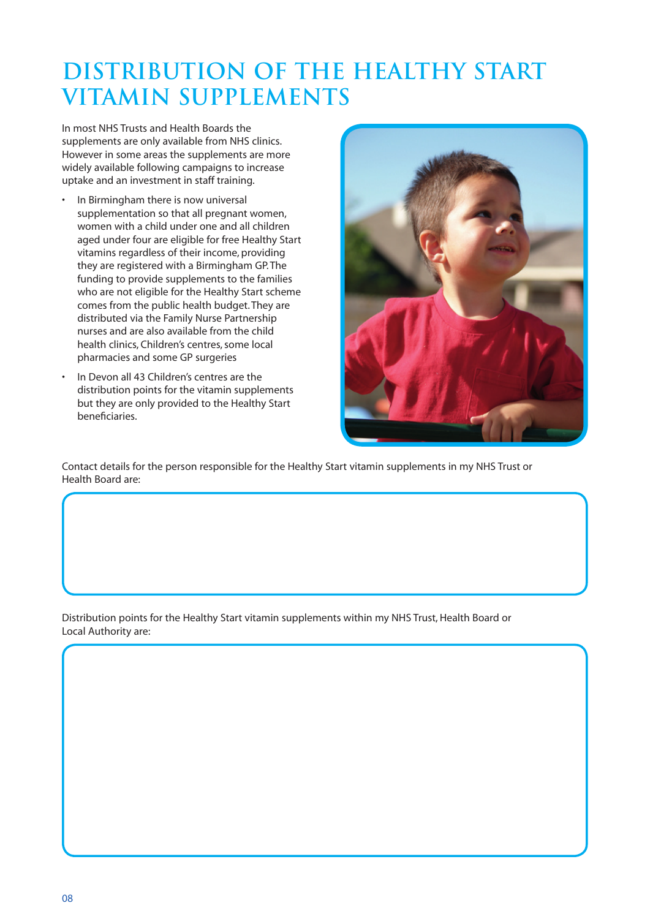## **Distribution of the Healthy Start Vitamin Supplements**

In most NHS Trusts and Health Boards the supplements are only available from NHS clinics. However in some areas the supplements are more widely available following campaigns to increase uptake and an investment in staff training.

- In Birmingham there is now universal supplementation so that all pregnant women, women with a child under one and all children aged under four are eligible for free Healthy Start vitamins regardless of their income, providing they are registered with a Birmingham GP. The funding to provide supplements to the families who are not eligible for the Healthy Start scheme comes from the public health budget. They are distributed via the Family Nurse Partnership nurses and are also available from the child health clinics, Children's centres, some local pharmacies and some GP surgeries
- In Devon all 43 Children's centres are the distribution points for the vitamin supplements but they are only provided to the Healthy Start beneficiaries.



Contact details for the person responsible for the Healthy Start vitamin supplements in my NHS Trust or Health Board are:

Distribution points for the Healthy Start vitamin supplements within my NHS Trust, Health Board or Local Authority are: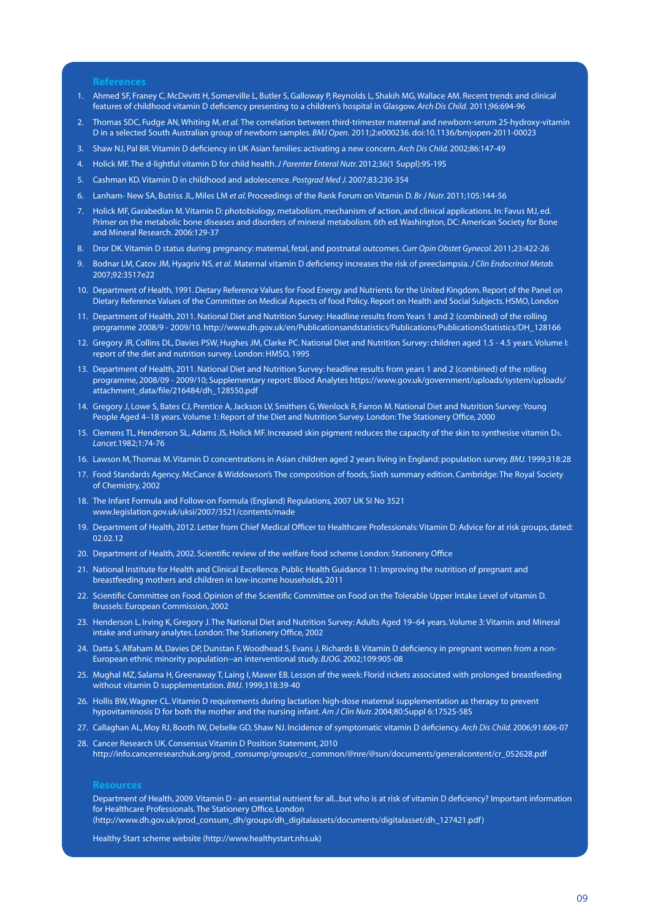**References**

- 1. Ahmed SF, Franey C, McDevitt H, Somerville L, Butler S, Galloway P, Reynolds L, Shakih MG, Wallace AM. Recent trends and clinical features of childhood vitamin D deficiency presenting to a children's hospital in Glasgow. *Arch Dis Child.* 2011;96:694-96
- 2. Thomas SDC, Fudge AN, Whiting M, *et al.* The correlation between third-trimester maternal and newborn-serum 25-hydroxy-vitamin D in a selected South Australian group of newborn samples. *BMJ Open.* 2011;2:e000236. doi:10.1136/bmjopen-2011-00023
- 3. Shaw NJ, Pal BR. Vitamin D deficiency in UK Asian families: activating a new concern. *Arch Dis Child.* 2002;86:147-49
- 4. Holick MF. The d-lightful vitamin D for child health. *J Parenter Enteral Nutr.* 2012;36(1 Suppl):9S-19S
- 5. Cashman KD. Vitamin D in childhood and adolescence. *Postgrad Med J.* 2007;83:230-354
- 6. Lanham- New SA, Butriss JL, Miles LM *et al.* Proceedings of the Rank Forum on Vitamin D. *Br J Nutr.* 2011;105:144-56
- 7. Holick MF, Garabedian M. Vitamin D: photobiology, metabolism, mechanism of action, and clinical applications. In: Favus MJ, ed. Primer on the metabolic bone diseases and disorders of mineral metabolism. 6th ed. Washington, DC: American Society for Bone and Mineral Research. 2006:129-37
- 8. Dror DK. Vitamin D status during pregnancy: maternal, fetal, and postnatal outcomes. *Curr Opin Obstet Gynecol.* 2011;23:422-26
- 9. Bodnar LM, Catov JM, Hyagriv NS, *et al.* Maternal vitamin D deficiency increases the risk of preeclampsia. *J Clin Endocrinol Metab.*  2007;92:3517e22
- 10. Department of Health, 1991. Dietary Reference Values for Food Energy and Nutrients for the United Kingdom. Report of the Panel on Dietary Reference Values of the Committee on Medical Aspects of food Policy. Report on Health and Social Subjects. HSMO, London
- 11. Department of Health, 2011. National Diet and Nutrition Survey: Headline results from Years 1 and 2 (combined) of the rolling programme 2008/9 - 2009/10. http://www.dh.gov.uk/en/Publicationsandstatistics/Publications/PublicationsStatistics/DH\_128166
- 12. Gregory JR, Collins DL, Davies PSW, Hughes JM, Clarke PC. National Diet and Nutrition Survey: children aged 1.5 4.5 years. Volume I: report of the diet and nutrition survey. London: HMSO, 1995
- 13. Department of Health, 2011. National Diet and Nutrition Survey: headline results from years 1 and 2 (combined) of the rolling programme, 2008/09 - 2009/10; Supplementary report: Blood Analytes https://www.gov.uk/government/uploads/system/uploads/ attachment\_data/file/216484/dh\_128550.pdf
- 14. Gregory J, Lowe S, Bates CJ, Prentice A, Jackson LV, Smithers G, Wenlock R, Farron M. National Diet and Nutrition Survey: Young People Aged 4–18 years. Volume 1: Report of the Diet and Nutrition Survey. London: The Stationery Office, 2000
- 15. Clemens TL, Henderson SL, Adams JS, Holick MF. Increased skin pigment reduces the capacity of the skin to synthesise vitamin D3. *Lancet.*1982;1:74-76
- 16. Lawson M, Thomas M. Vitamin D concentrations in Asian children aged 2 years living in England: population survey. *BMJ.* 1999;318:28
- 17. Food Standards Agency. McCance & Widdowson's The composition of foods, Sixth summary edition. Cambridge: The Royal Society of Chemistry, 2002
- 18. The Infant Formula and Follow-on Formula (England) Regulations, 2007 UK SI No 3521 www.legislation.gov.uk/uksi/2007/3521/contents/made
- 19. Department of Health, 2012. Letter from Chief Medical Officer to Healthcare Professionals: Vitamin D: Advice for at risk groups, dated: 02.02.12
- 20. Department of Health, 2002. Scientific review of the welfare food scheme London: Stationery Office
- 21. National Institute for Health and Clinical Excellence. Public Health Guidance 11: Improving the nutrition of pregnant and breastfeeding mothers and children in low-income households, 2011
- 22. Scientific Committee on Food. Opinion of the Scientific Committee on Food on the Tolerable Upper Intake Level of vitamin D. Brussels: European Commission, 2002
- 23. Henderson L, Irving K, Gregory J. The National Diet and Nutrition Survey: Adults Aged 19–64 years. Volume 3: Vitamin and Mineral intake and urinary analytes. London: The Stationery Office, 2002
- 24. Datta S, Alfaham M, Davies DP, Dunstan F, Woodhead S, Evans J, Richards B. Vitamin D deficiency in pregnant women from a non-European ethnic minority population--an interventional study. *BJOG.* 2002;109:905-08
- 25. Mughal MZ, Salama H, Greenaway T, Laing I, Mawer EB. Lesson of the week: Florid rickets associated with prolonged breastfeeding without vitamin D supplementation. *BMJ.* 1999;318:39-40
- 26. Hollis BW, Wagner CL. Vitamin D requirements during lactation: high-dose maternal supplementation as therapy to prevent hypovitaminosis D for both the mother and the nursing infant. *Am J Clin Nutr.* 2004;80:Suppl 6:1752S-58S
- 27. Callaghan AL, Moy RJ, Booth IW, Debelle GD, Shaw NJ. Incidence of symptomatic vitamin D deficiency. *Arch Dis Child.* 2006;91:606-07
- 28. Cancer Research UK. Consensus Vitamin D Position Statement, 2010 http://info.cancerresearchuk.org/prod\_consump/groups/cr\_common/@nre/@sun/documents/generalcontent/cr\_052628.pdf

#### **Resources**

 Department of Health, 2009. Vitamin D - an essential nutrient for all...but who is at risk of vitamin D deficiency? Important information for Healthcare Professionals. The Stationery Office, London (http://www.dh.gov.uk/prod\_consum\_dh/groups/dh\_digitalassets/documents/digitalasset/dh\_127421.pdf )

Healthy Start scheme website (http://www.healthystart.nhs.uk)